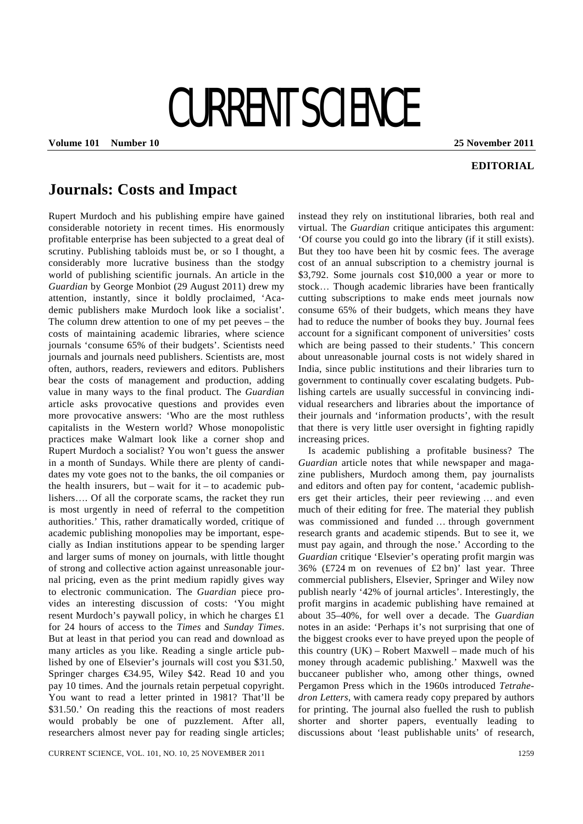# CURRENT SCIENCE

**Volume 101 Number 10 25 November 2011** 

### **EDITORIAL**

## **Journals: Costs and Impact**

Rupert Murdoch and his publishing empire have gained considerable notoriety in recent times. His enormously profitable enterprise has been subjected to a great deal of scrutiny. Publishing tabloids must be, or so I thought, a considerably more lucrative business than the stodgy world of publishing scientific journals. An article in the *Guardian* by George Monbiot (29 August 2011) drew my attention, instantly, since it boldly proclaimed, 'Academic publishers make Murdoch look like a socialist'. The column drew attention to one of my pet peeves – the costs of maintaining academic libraries, where science journals 'consume 65% of their budgets'. Scientists need journals and journals need publishers. Scientists are, most often, authors, readers, reviewers and editors. Publishers bear the costs of management and production, adding value in many ways to the final product. The *Guardian* article asks provocative questions and provides even more provocative answers: 'Who are the most ruthless capitalists in the Western world? Whose monopolistic practices make Walmart look like a corner shop and Rupert Murdoch a socialist? You won't guess the answer in a month of Sundays. While there are plenty of candidates my vote goes not to the banks, the oil companies or the health insurers, but – wait for  $it - to$  academic publishers…. Of all the corporate scams, the racket they run is most urgently in need of referral to the competition authorities.' This, rather dramatically worded, critique of academic publishing monopolies may be important, especially as Indian institutions appear to be spending larger and larger sums of money on journals, with little thought of strong and collective action against unreasonable journal pricing, even as the print medium rapidly gives way to electronic communication. The *Guardian* piece provides an interesting discussion of costs: 'You might resent Murdoch's paywall policy, in which he charges £1 for 24 hours of access to the *Times* and *Sunday Times*. But at least in that period you can read and download as many articles as you like. Reading a single article published by one of Elsevier's journals will cost you \$31.50, Springer charges €34.95, Wiley \$42. Read 10 and you pay 10 times. And the journals retain perpetual copyright. You want to read a letter printed in 1981? That'll be \$31.50.' On reading this the reactions of most readers would probably be one of puzzlement. After all, researchers almost never pay for reading single articles; instead they rely on institutional libraries, both real and virtual. The *Guardian* critique anticipates this argument: 'Of course you could go into the library (if it still exists). But they too have been hit by cosmic fees. The average cost of an annual subscription to a chemistry journal is \$3,792. Some journals cost \$10,000 a year or more to stock… Though academic libraries have been frantically cutting subscriptions to make ends meet journals now consume 65% of their budgets, which means they have had to reduce the number of books they buy. Journal fees account for a significant component of universities' costs which are being passed to their students.' This concern about unreasonable journal costs is not widely shared in India, since public institutions and their libraries turn to government to continually cover escalating budgets. Publishing cartels are usually successful in convincing individual researchers and libraries about the importance of their journals and 'information products', with the result that there is very little user oversight in fighting rapidly increasing prices.

 Is academic publishing a profitable business? The *Guardian* article notes that while newspaper and magazine publishers, Murdoch among them, pay journalists and editors and often pay for content, 'academic publishers get their articles, their peer reviewing … and even much of their editing for free. The material they publish was commissioned and funded … through government research grants and academic stipends. But to see it, we must pay again, and through the nose.' According to the *Guardian* critique 'Elsevier's operating profit margin was 36% (£724 m on revenues of £2 bn)' last year. Three commercial publishers, Elsevier, Springer and Wiley now publish nearly '42% of journal articles'. Interestingly, the profit margins in academic publishing have remained at about 35–40%, for well over a decade. The *Guardian* notes in an aside: 'Perhaps it's not surprising that one of the biggest crooks ever to have preyed upon the people of this country (UK) – Robert Maxwell – made much of his money through academic publishing.' Maxwell was the buccaneer publisher who, among other things, owned Pergamon Press which in the 1960s introduced *Tetrahedron Letters*, with camera ready copy prepared by authors for printing. The journal also fuelled the rush to publish shorter and shorter papers, eventually leading to discussions about 'least publishable units' of research,